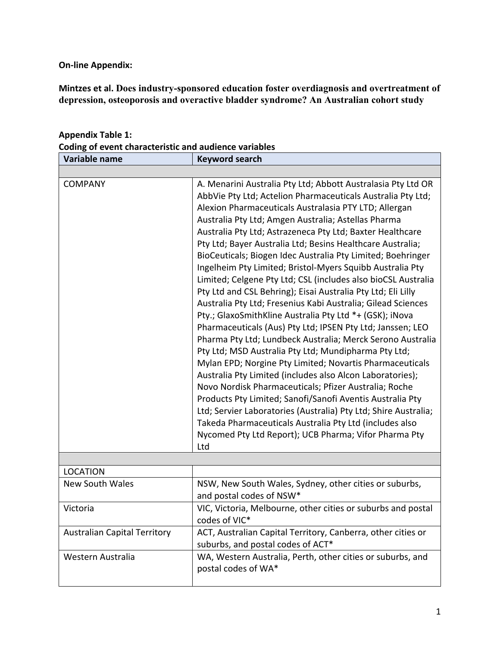**On-line Appendix:** 

Mintzes et al. Does industry-sponsored education foster overdiagnosis and overtreatment of **depression, osteoporosis and overactive bladder syndrome? An Australian cohort study** 

| Variable name                       | <b>Keyword search</b>                                                                                                                                                                                                                                                                                                                                                                                                                                                                                                                                                                                                                                                                                                                                                                                                                                                                                                                                                                                                                                                                                                                                                                                                                                                                                                                                                                           |
|-------------------------------------|-------------------------------------------------------------------------------------------------------------------------------------------------------------------------------------------------------------------------------------------------------------------------------------------------------------------------------------------------------------------------------------------------------------------------------------------------------------------------------------------------------------------------------------------------------------------------------------------------------------------------------------------------------------------------------------------------------------------------------------------------------------------------------------------------------------------------------------------------------------------------------------------------------------------------------------------------------------------------------------------------------------------------------------------------------------------------------------------------------------------------------------------------------------------------------------------------------------------------------------------------------------------------------------------------------------------------------------------------------------------------------------------------|
|                                     |                                                                                                                                                                                                                                                                                                                                                                                                                                                                                                                                                                                                                                                                                                                                                                                                                                                                                                                                                                                                                                                                                                                                                                                                                                                                                                                                                                                                 |
| <b>COMPANY</b>                      | A. Menarini Australia Pty Ltd; Abbott Australasia Pty Ltd OR<br>AbbVie Pty Ltd; Actelion Pharmaceuticals Australia Pty Ltd;<br>Alexion Pharmaceuticals Australasia PTY LTD; Allergan<br>Australia Pty Ltd; Amgen Australia; Astellas Pharma<br>Australia Pty Ltd; Astrazeneca Pty Ltd; Baxter Healthcare<br>Pty Ltd; Bayer Australia Ltd; Besins Healthcare Australia;<br>BioCeuticals; Biogen Idec Australia Pty Limited; Boehringer<br>Ingelheim Pty Limited; Bristol-Myers Squibb Australia Pty<br>Limited; Celgene Pty Ltd; CSL (includes also bioCSL Australia<br>Pty Ltd and CSL Behring); Eisai Australia Pty Ltd; Eli Lilly<br>Australia Pty Ltd; Fresenius Kabi Australia; Gilead Sciences<br>Pty.; GlaxoSmithKline Australia Pty Ltd *+ (GSK); iNova<br>Pharmaceuticals (Aus) Pty Ltd; IPSEN Pty Ltd; Janssen; LEO<br>Pharma Pty Ltd; Lundbeck Australia; Merck Serono Australia<br>Pty Ltd; MSD Australia Pty Ltd; Mundipharma Pty Ltd;<br>Mylan EPD; Norgine Pty Limited; Novartis Pharmaceuticals<br>Australia Pty Limited (includes also Alcon Laboratories);<br>Novo Nordisk Pharmaceuticals; Pfizer Australia; Roche<br>Products Pty Limited; Sanofi/Sanofi Aventis Australia Pty<br>Ltd; Servier Laboratories (Australia) Pty Ltd; Shire Australia;<br>Takeda Pharmaceuticals Australia Pty Ltd (includes also<br>Nycomed Pty Ltd Report); UCB Pharma; Vifor Pharma Pty<br>Ltd |
|                                     |                                                                                                                                                                                                                                                                                                                                                                                                                                                                                                                                                                                                                                                                                                                                                                                                                                                                                                                                                                                                                                                                                                                                                                                                                                                                                                                                                                                                 |
| <b>LOCATION</b>                     |                                                                                                                                                                                                                                                                                                                                                                                                                                                                                                                                                                                                                                                                                                                                                                                                                                                                                                                                                                                                                                                                                                                                                                                                                                                                                                                                                                                                 |
| <b>New South Wales</b>              | NSW, New South Wales, Sydney, other cities or suburbs,<br>and postal codes of NSW*                                                                                                                                                                                                                                                                                                                                                                                                                                                                                                                                                                                                                                                                                                                                                                                                                                                                                                                                                                                                                                                                                                                                                                                                                                                                                                              |
| Victoria                            | VIC, Victoria, Melbourne, other cities or suburbs and postal<br>codes of VIC*                                                                                                                                                                                                                                                                                                                                                                                                                                                                                                                                                                                                                                                                                                                                                                                                                                                                                                                                                                                                                                                                                                                                                                                                                                                                                                                   |
| <b>Australian Capital Territory</b> | ACT, Australian Capital Territory, Canberra, other cities or<br>suburbs, and postal codes of ACT*                                                                                                                                                                                                                                                                                                                                                                                                                                                                                                                                                                                                                                                                                                                                                                                                                                                                                                                                                                                                                                                                                                                                                                                                                                                                                               |
| Western Australia                   | WA, Western Australia, Perth, other cities or suburbs, and<br>postal codes of WA*                                                                                                                                                                                                                                                                                                                                                                                                                                                                                                                                                                                                                                                                                                                                                                                                                                                                                                                                                                                                                                                                                                                                                                                                                                                                                                               |

**Appendix Table 1: Coding of event characteristic and audience variables**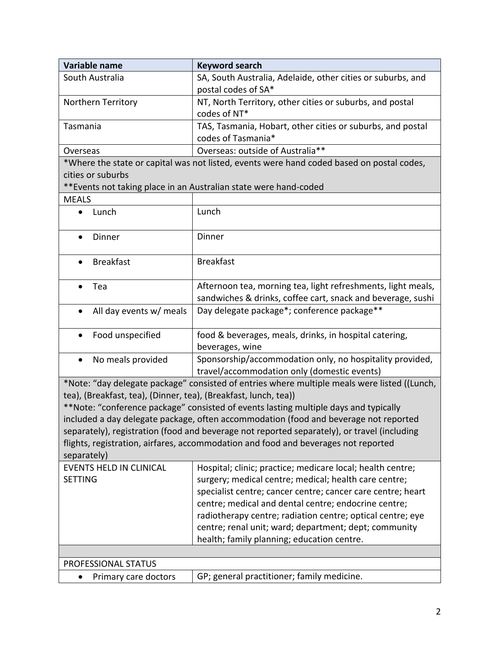| Variable name                                                   | <b>Keyword search</b>                                                                        |  |  |  |  |
|-----------------------------------------------------------------|----------------------------------------------------------------------------------------------|--|--|--|--|
| South Australia                                                 | SA, South Australia, Adelaide, other cities or suburbs, and                                  |  |  |  |  |
|                                                                 | postal codes of SA*                                                                          |  |  |  |  |
| <b>Northern Territory</b>                                       | NT, North Territory, other cities or suburbs, and postal                                     |  |  |  |  |
|                                                                 | codes of NT*                                                                                 |  |  |  |  |
| Tasmania                                                        | TAS, Tasmania, Hobart, other cities or suburbs, and postal                                   |  |  |  |  |
|                                                                 | codes of Tasmania*                                                                           |  |  |  |  |
| Overseas                                                        | Overseas: outside of Australia**                                                             |  |  |  |  |
|                                                                 | *Where the state or capital was not listed, events were hand coded based on postal codes,    |  |  |  |  |
| cities or suburbs                                               |                                                                                              |  |  |  |  |
|                                                                 | ** Events not taking place in an Australian state were hand-coded                            |  |  |  |  |
| <b>MEALS</b>                                                    |                                                                                              |  |  |  |  |
| Lunch<br>$\bullet$                                              | Lunch                                                                                        |  |  |  |  |
|                                                                 |                                                                                              |  |  |  |  |
| Dinner<br>$\bullet$                                             | Dinner                                                                                       |  |  |  |  |
|                                                                 |                                                                                              |  |  |  |  |
| <b>Breakfast</b>                                                | <b>Breakfast</b>                                                                             |  |  |  |  |
|                                                                 |                                                                                              |  |  |  |  |
| Tea                                                             | Afternoon tea, morning tea, light refreshments, light meals,                                 |  |  |  |  |
|                                                                 | sandwiches & drinks, coffee cart, snack and beverage, sushi                                  |  |  |  |  |
| All day events w/ meals                                         | Day delegate package*; conference package**                                                  |  |  |  |  |
|                                                                 |                                                                                              |  |  |  |  |
| Food unspecified                                                | food & beverages, meals, drinks, in hospital catering,                                       |  |  |  |  |
|                                                                 | beverages, wine                                                                              |  |  |  |  |
| No meals provided<br>$\bullet$                                  | Sponsorship/accommodation only, no hospitality provided,                                     |  |  |  |  |
|                                                                 | travel/accommodation only (domestic events)                                                  |  |  |  |  |
|                                                                 | *Note: "day delegate package" consisted of entries where multiple meals were listed ((Lunch, |  |  |  |  |
| tea), (Breakfast, tea), (Dinner, tea), (Breakfast, lunch, tea)) |                                                                                              |  |  |  |  |
|                                                                 | **Note: "conference package" consisted of events lasting multiple days and typically         |  |  |  |  |
|                                                                 | included a day delegate package, often accommodation (food and beverage not reported         |  |  |  |  |
|                                                                 | separately), registration (food and beverage not reported separately), or travel (including  |  |  |  |  |
|                                                                 | flights, registration, airfares, accommodation and food and beverages not reported           |  |  |  |  |
| separately)                                                     |                                                                                              |  |  |  |  |
| <b>EVENTS HELD IN CLINICAL</b>                                  | Hospital; clinic; practice; medicare local; health centre;                                   |  |  |  |  |
| <b>SETTING</b>                                                  | surgery; medical centre; medical; health care centre;                                        |  |  |  |  |
|                                                                 | specialist centre; cancer centre; cancer care centre; heart                                  |  |  |  |  |
|                                                                 | centre; medical and dental centre; endocrine centre;                                         |  |  |  |  |
|                                                                 | radiotherapy centre; radiation centre; optical centre; eye                                   |  |  |  |  |
|                                                                 | centre; renal unit; ward; department; dept; community                                        |  |  |  |  |
|                                                                 | health; family planning; education centre.                                                   |  |  |  |  |
|                                                                 |                                                                                              |  |  |  |  |
| PROFESSIONAL STATUS                                             |                                                                                              |  |  |  |  |
| Primary care doctors<br>$\bullet$                               | GP; general practitioner; family medicine.                                                   |  |  |  |  |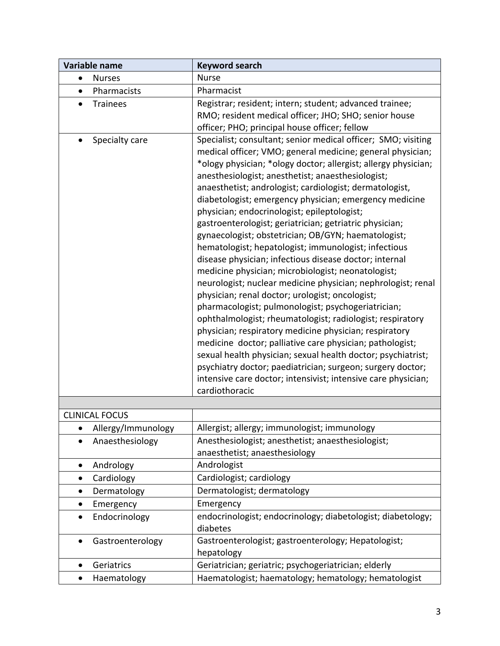| Variable name              | <b>Keyword search</b>                                                                                                                                                                                                                                                                                                                                                                                                                                                                                                                                                                                                                                                                                                                                                                                                                                                                                                                                                                                                                                                                                                                                                                                                                                                                         |  |  |  |  |
|----------------------------|-----------------------------------------------------------------------------------------------------------------------------------------------------------------------------------------------------------------------------------------------------------------------------------------------------------------------------------------------------------------------------------------------------------------------------------------------------------------------------------------------------------------------------------------------------------------------------------------------------------------------------------------------------------------------------------------------------------------------------------------------------------------------------------------------------------------------------------------------------------------------------------------------------------------------------------------------------------------------------------------------------------------------------------------------------------------------------------------------------------------------------------------------------------------------------------------------------------------------------------------------------------------------------------------------|--|--|--|--|
| <b>Nurses</b><br>$\bullet$ | <b>Nurse</b>                                                                                                                                                                                                                                                                                                                                                                                                                                                                                                                                                                                                                                                                                                                                                                                                                                                                                                                                                                                                                                                                                                                                                                                                                                                                                  |  |  |  |  |
| Pharmacists<br>$\bullet$   | Pharmacist                                                                                                                                                                                                                                                                                                                                                                                                                                                                                                                                                                                                                                                                                                                                                                                                                                                                                                                                                                                                                                                                                                                                                                                                                                                                                    |  |  |  |  |
| <b>Trainees</b>            | Registrar; resident; intern; student; advanced trainee;<br>RMO; resident medical officer; JHO; SHO; senior house<br>officer; PHO; principal house officer; fellow                                                                                                                                                                                                                                                                                                                                                                                                                                                                                                                                                                                                                                                                                                                                                                                                                                                                                                                                                                                                                                                                                                                             |  |  |  |  |
| Specialty care             | Specialist; consultant; senior medical officer; SMO; visiting<br>medical officer; VMO; general medicine; general physician;<br>*ology physician; *ology doctor; allergist; allergy physician;<br>anesthesiologist; anesthetist; anaesthesiologist;<br>anaesthetist; andrologist; cardiologist; dermatologist,<br>diabetologist; emergency physician; emergency medicine<br>physician; endocrinologist; epileptologist;<br>gastroenterologist; geriatrician; getriatric physician;<br>gynaecologist; obstetrician; OB/GYN; haematologist;<br>hematologist; hepatologist; immunologist; infectious<br>disease physician; infectious disease doctor; internal<br>medicine physician; microbiologist; neonatologist;<br>neurologist; nuclear medicine physician; nephrologist; renal<br>physician; renal doctor; urologist; oncologist;<br>pharmacologist; pulmonologist; psychogeriatrician;<br>ophthalmologist; rheumatologist; radiologist; respiratory<br>physician; respiratory medicine physician; respiratory<br>medicine doctor; palliative care physician; pathologist;<br>sexual health physician; sexual health doctor; psychiatrist;<br>psychiatry doctor; paediatrician; surgeon; surgery doctor;<br>intensive care doctor; intensivist; intensive care physician;<br>cardiothoracic |  |  |  |  |
|                            |                                                                                                                                                                                                                                                                                                                                                                                                                                                                                                                                                                                                                                                                                                                                                                                                                                                                                                                                                                                                                                                                                                                                                                                                                                                                                               |  |  |  |  |
| <b>CLINICAL FOCUS</b>      |                                                                                                                                                                                                                                                                                                                                                                                                                                                                                                                                                                                                                                                                                                                                                                                                                                                                                                                                                                                                                                                                                                                                                                                                                                                                                               |  |  |  |  |
| Allergy/Immunology         | Allergist; allergy; immunologist; immunology                                                                                                                                                                                                                                                                                                                                                                                                                                                                                                                                                                                                                                                                                                                                                                                                                                                                                                                                                                                                                                                                                                                                                                                                                                                  |  |  |  |  |
| Anaesthesiology            | Anesthesiologist; anesthetist; anaesthesiologist;<br>anaesthetist; anaesthesiology                                                                                                                                                                                                                                                                                                                                                                                                                                                                                                                                                                                                                                                                                                                                                                                                                                                                                                                                                                                                                                                                                                                                                                                                            |  |  |  |  |
| Andrology<br>$\bullet$     | Andrologist                                                                                                                                                                                                                                                                                                                                                                                                                                                                                                                                                                                                                                                                                                                                                                                                                                                                                                                                                                                                                                                                                                                                                                                                                                                                                   |  |  |  |  |
| Cardiology                 | Cardiologist; cardiology                                                                                                                                                                                                                                                                                                                                                                                                                                                                                                                                                                                                                                                                                                                                                                                                                                                                                                                                                                                                                                                                                                                                                                                                                                                                      |  |  |  |  |
| Dermatology<br>$\bullet$   | Dermatologist; dermatology                                                                                                                                                                                                                                                                                                                                                                                                                                                                                                                                                                                                                                                                                                                                                                                                                                                                                                                                                                                                                                                                                                                                                                                                                                                                    |  |  |  |  |
| Emergency                  | Emergency                                                                                                                                                                                                                                                                                                                                                                                                                                                                                                                                                                                                                                                                                                                                                                                                                                                                                                                                                                                                                                                                                                                                                                                                                                                                                     |  |  |  |  |
| Endocrinology<br>$\bullet$ | endocrinologist; endocrinology; diabetologist; diabetology;<br>diabetes                                                                                                                                                                                                                                                                                                                                                                                                                                                                                                                                                                                                                                                                                                                                                                                                                                                                                                                                                                                                                                                                                                                                                                                                                       |  |  |  |  |
| Gastroenterology           | Gastroenterologist; gastroenterology; Hepatologist;<br>hepatology                                                                                                                                                                                                                                                                                                                                                                                                                                                                                                                                                                                                                                                                                                                                                                                                                                                                                                                                                                                                                                                                                                                                                                                                                             |  |  |  |  |
| Geriatrics<br>$\bullet$    | Geriatrician; geriatric; psychogeriatrician; elderly                                                                                                                                                                                                                                                                                                                                                                                                                                                                                                                                                                                                                                                                                                                                                                                                                                                                                                                                                                                                                                                                                                                                                                                                                                          |  |  |  |  |
| Haematology<br>٠           | Haematologist; haematology; hematology; hematologist                                                                                                                                                                                                                                                                                                                                                                                                                                                                                                                                                                                                                                                                                                                                                                                                                                                                                                                                                                                                                                                                                                                                                                                                                                          |  |  |  |  |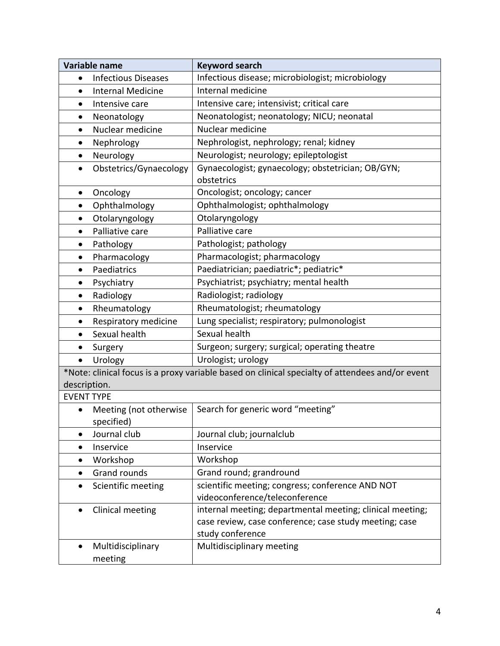| <b>Variable name</b> |                                      | <b>Keyword search</b>                                                                                                                   |  |  |  |
|----------------------|--------------------------------------|-----------------------------------------------------------------------------------------------------------------------------------------|--|--|--|
| $\bullet$            | <b>Infectious Diseases</b>           | Infectious disease; microbiologist; microbiology                                                                                        |  |  |  |
| $\bullet$            | <b>Internal Medicine</b>             | Internal medicine                                                                                                                       |  |  |  |
| $\bullet$            | Intensive care                       | Intensive care; intensivist; critical care                                                                                              |  |  |  |
| $\bullet$            | Neonatology                          | Neonatologist; neonatology; NICU; neonatal                                                                                              |  |  |  |
| $\bullet$            | Nuclear medicine                     | Nuclear medicine                                                                                                                        |  |  |  |
| ٠                    | Nephrology                           | Nephrologist, nephrology; renal; kidney                                                                                                 |  |  |  |
| $\bullet$            | Neurology                            | Neurologist; neurology; epileptologist                                                                                                  |  |  |  |
| $\bullet$            | Obstetrics/Gynaecology               | Gynaecologist; gynaecology; obstetrician; OB/GYN;<br>obstetrics                                                                         |  |  |  |
| $\bullet$            | Oncology                             | Oncologist; oncology; cancer                                                                                                            |  |  |  |
| $\bullet$            | Ophthalmology                        | Ophthalmologist; ophthalmology                                                                                                          |  |  |  |
| $\bullet$            | Otolaryngology                       | Otolaryngology                                                                                                                          |  |  |  |
| $\bullet$            | Palliative care                      | Palliative care                                                                                                                         |  |  |  |
| $\bullet$            | Pathology                            | Pathologist; pathology                                                                                                                  |  |  |  |
| $\bullet$            | Pharmacology                         | Pharmacologist; pharmacology                                                                                                            |  |  |  |
| $\bullet$            | Paediatrics                          | Paediatrician; paediatric*; pediatric*                                                                                                  |  |  |  |
|                      | Psychiatry                           | Psychiatrist; psychiatry; mental health                                                                                                 |  |  |  |
| $\bullet$            | Radiology                            | Radiologist; radiology                                                                                                                  |  |  |  |
| $\bullet$            | Rheumatology                         | Rheumatologist; rheumatology                                                                                                            |  |  |  |
| ٠                    | Respiratory medicine                 | Lung specialist; respiratory; pulmonologist                                                                                             |  |  |  |
| $\bullet$            | Sexual health                        | Sexual health                                                                                                                           |  |  |  |
|                      | Surgery                              | Surgeon; surgery; surgical; operating theatre                                                                                           |  |  |  |
| $\bullet$            | Urology                              | Urologist; urology                                                                                                                      |  |  |  |
|                      |                                      | *Note: clinical focus is a proxy variable based on clinical specialty of attendees and/or event                                         |  |  |  |
| description.         |                                      |                                                                                                                                         |  |  |  |
| <b>EVENT TYPE</b>    |                                      |                                                                                                                                         |  |  |  |
| $\bullet$            | Meeting (not otherwise<br>specified) | Search for generic word "meeting"                                                                                                       |  |  |  |
|                      | Journal club                         | Journal club; journalclub                                                                                                               |  |  |  |
| $\bullet$            | Inservice                            | Inservice                                                                                                                               |  |  |  |
| $\bullet$            | Workshop                             | Workshop                                                                                                                                |  |  |  |
|                      | <b>Grand rounds</b>                  | Grand round; grandround                                                                                                                 |  |  |  |
| $\bullet$            | Scientific meeting                   | scientific meeting; congress; conference AND NOT<br>videoconference/teleconference                                                      |  |  |  |
| $\bullet$            | Clinical meeting                     | internal meeting; departmental meeting; clinical meeting;<br>case review, case conference; case study meeting; case<br>study conference |  |  |  |
| $\bullet$            | Multidisciplinary<br>meeting         | Multidisciplinary meeting                                                                                                               |  |  |  |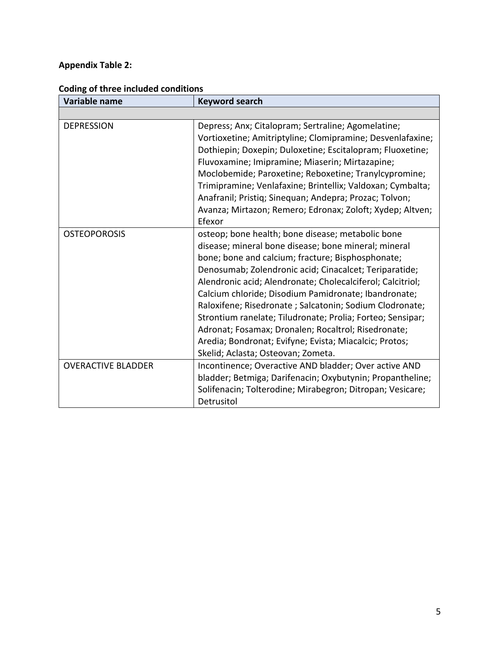# **Appendix Table 2:**

| Variable name             | <b>Keyword search</b>                                                                                                                                                                                                                                                                                                                                                                                                                                                                                                                                                                                                           |
|---------------------------|---------------------------------------------------------------------------------------------------------------------------------------------------------------------------------------------------------------------------------------------------------------------------------------------------------------------------------------------------------------------------------------------------------------------------------------------------------------------------------------------------------------------------------------------------------------------------------------------------------------------------------|
|                           |                                                                                                                                                                                                                                                                                                                                                                                                                                                                                                                                                                                                                                 |
| <b>DEPRESSION</b>         | Depress; Anx; Citalopram; Sertraline; Agomelatine;<br>Vortioxetine; Amitriptyline; Clomipramine; Desvenlafaxine;<br>Dothiepin; Doxepin; Duloxetine; Escitalopram; Fluoxetine;<br>Fluvoxamine; Imipramine; Miaserin; Mirtazapine;<br>Moclobemide; Paroxetine; Reboxetine; Tranylcypromine;<br>Trimipramine; Venlafaxine; Brintellix; Valdoxan; Cymbalta;<br>Anafranil; Pristiq; Sinequan; Andepra; Prozac; Tolvon;<br>Avanza; Mirtazon; Remero; Edronax; Zoloft; Xydep; Altven;<br>Efexor                                                                                                                                        |
| <b>OSTEOPOROSIS</b>       | osteop; bone health; bone disease; metabolic bone<br>disease; mineral bone disease; bone mineral; mineral<br>bone; bone and calcium; fracture; Bisphosphonate;<br>Denosumab; Zolendronic acid; Cinacalcet; Teriparatide;<br>Alendronic acid; Alendronate; Cholecalciferol; Calcitriol;<br>Calcium chloride; Disodium Pamidronate; Ibandronate;<br>Raloxifene; Risedronate ; Salcatonin; Sodium Clodronate;<br>Strontium ranelate; Tiludronate; Prolia; Forteo; Sensipar;<br>Adronat; Fosamax; Dronalen; Rocaltrol; Risedronate;<br>Aredia; Bondronat; Evifyne; Evista; Miacalcic; Protos;<br>Skelid; Aclasta; Osteovan; Zometa. |
| <b>OVERACTIVE BLADDER</b> | Incontinence; Overactive AND bladder; Over active AND<br>bladder; Betmiga; Darifenacin; Oxybutynin; Propantheline;<br>Solifenacin; Tolterodine; Mirabegron; Ditropan; Vesicare;<br>Detrusitol                                                                                                                                                                                                                                                                                                                                                                                                                                   |

# **Coding of three included conditions**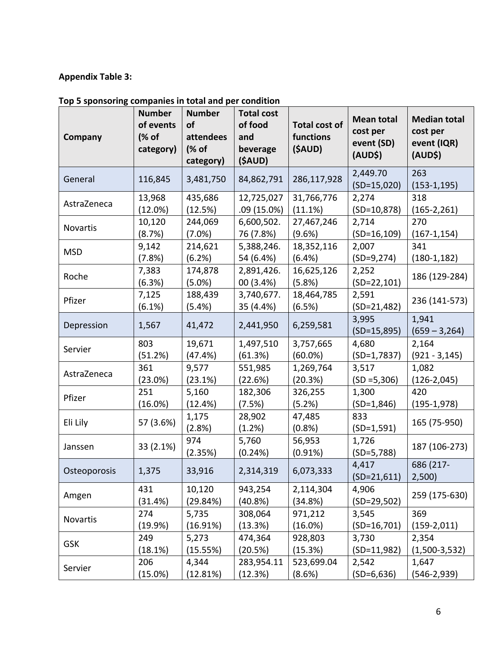## **Appendix Table 3:**

| Company      | <b>Number</b><br>of events<br>(% of<br>category) | <b>Number</b><br>of<br>attendees<br>(% of<br>category) | <b>Total cost</b><br>of food<br>and<br>beverage<br>(\$AUD) | <b>Total cost of</b><br>functions<br>(\$AUD) | <b>Mean total</b><br>cost per<br>event (SD)<br>(AUD\$) | <b>Median total</b><br>cost per<br>event (IQR)<br>(AUD\$) |
|--------------|--------------------------------------------------|--------------------------------------------------------|------------------------------------------------------------|----------------------------------------------|--------------------------------------------------------|-----------------------------------------------------------|
| General      | 116,845                                          | 3,481,750                                              | 84,862,791                                                 | 286,117,928                                  | 2,449.70<br>$(SD=15,020)$                              | 263<br>$(153-1, 195)$                                     |
| AstraZeneca  | 13,968                                           | 435,686                                                | 12,725,027                                                 | 31,766,776                                   | 2,274                                                  | 318                                                       |
|              | (12.0%)                                          | (12.5%)                                                | .09 (15.0%)                                                | (11.1%)                                      | $(SD=10,878)$                                          | $(165-2,261)$                                             |
| Novartis     | 10,120                                           | 244,069                                                | 6,600,502.                                                 | 27,467,246                                   | 2,714                                                  | 270                                                       |
|              | (8.7%)                                           | $(7.0\%)$                                              | 76 (7.8%)                                                  | (9.6%)                                       | $(SD=16,109)$                                          | $(167-1, 154)$                                            |
| <b>MSD</b>   | 9,142                                            | 214,621                                                | 5,388,246.                                                 | 18,352,116                                   | 2,007                                                  | 341                                                       |
|              | (7.8%)                                           | (6.2%)                                                 | 54 (6.4%)                                                  | (6.4%)                                       | $(SD=9, 274)$                                          | $(180-1, 182)$                                            |
| Roche        | 7,383<br>(6.3%)                                  | 174,878<br>$(5.0\%)$                                   | 2,891,426.<br>00 (3.4%)                                    | 16,625,126<br>(5.8%)                         | 2,252<br>$(SD=22,101)$                                 | 186 (129-284)                                             |
| Pfizer       | 7,125<br>(6.1%)                                  | 188,439<br>(5.4%)                                      | 3,740,677.<br>35 (4.4%)                                    | 18,464,785<br>(6.5%)                         | 2,591<br>$(SD=21,482)$                                 | 236 (141-573)                                             |
| Depression   | 1,567                                            | 41,472                                                 | 2,441,950                                                  | 6,259,581                                    | 3,995<br>$(SD=15,895)$                                 | 1,941<br>$(659 - 3,264)$                                  |
| Servier      | 803                                              | 19,671                                                 | 1,497,510                                                  | 3,757,665                                    | 4,680                                                  | 2,164                                                     |
|              | (51.2%)                                          | (47.4%)                                                | (61.3%)                                                    | $(60.0\%)$                                   | $(SD=1,7837)$                                          | $(921 - 3, 145)$                                          |
| AstraZeneca  | 361                                              | 9,577                                                  | 551,985                                                    | 1,269,764                                    | 3,517                                                  | 1,082                                                     |
|              | (23.0%)                                          | (23.1%)                                                | (22.6%)                                                    | (20.3%)                                      | $(SD = 5,306)$                                         | $(126-2,045)$                                             |
| Pfizer       | 251                                              | 5,160                                                  | 182,306                                                    | 326,255                                      | 1,300                                                  | 420                                                       |
|              | (16.0%)                                          | (12.4%)                                                | (7.5%)                                                     | (5.2%)                                       | $(SD=1,846)$                                           | $(195-1,978)$                                             |
| Eli Lily     | 57 (3.6%)                                        | 1,175<br>(2.8%)                                        | 28,902<br>(1.2%)                                           | 47,485<br>(0.8% )                            | 833<br>$(SD=1,591)$                                    | 165 (75-950)                                              |
| Janssen      | 33 (2.1%)                                        | 974<br>(2.35%)                                         | 5,760<br>(0.24%)                                           | 56,953<br>(0.91%)                            | 1,726<br>$(SD=5,788)$                                  | 187 (106-273)                                             |
| Osteoporosis | 1,375                                            | 33,916                                                 | 2,314,319                                                  | 6,073,333                                    | 4,417<br>$(SD=21,611)$                                 | 686 (217-<br>2,500)                                       |
| Amgen        | 431<br>(31.4%)                                   | 10,120<br>(29.84%)                                     | 943,254<br>(40.8%)                                         | 2,114,304<br>(34.8%)                         | 4,906<br>$(SD=29,502)$                                 | 259 (175-630)                                             |
| Novartis     | 274                                              | 5,735                                                  | 308,064                                                    | 971,212                                      | 3,545                                                  | 369                                                       |
|              | (19.9%)                                          | (16.91%)                                               | (13.3%)                                                    | (16.0%)                                      | $(SD=16,701)$                                          | $(159-2,011)$                                             |
| <b>GSK</b>   | 249                                              | 5,273                                                  | 474,364                                                    | 928,803                                      | 3,730                                                  | 2,354                                                     |
|              | (18.1%)                                          | (15.55%)                                               | (20.5%)                                                    | (15.3%)                                      | $(SD=11,982)$                                          | $(1,500-3,532)$                                           |
| Servier      | 206                                              | 4,344                                                  | 283,954.11                                                 | 523,699.04                                   | 2,542                                                  | 1,647                                                     |
|              | (15.0%)                                          | (12.81%)                                               | (12.3%)                                                    | (8.6%)                                       | $(SD=6, 636)$                                          | $(546-2,939)$                                             |

## Top 5 sponsoring companies in total and per condition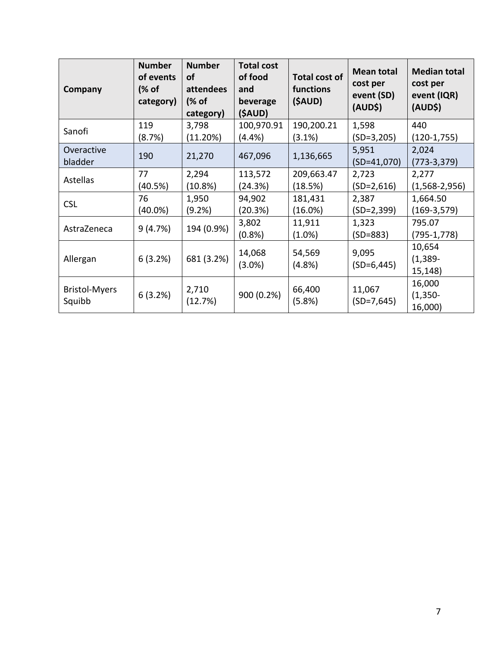| Company                        | <b>Number</b><br>of events<br>(% of<br>category) | <b>Number</b><br>of<br>attendees<br>(% of<br>category) | <b>Total cost</b><br>of food<br>and<br>beverage<br>(\$AUD) | <b>Total cost of</b><br>functions<br>(\$AUD) | <b>Mean total</b><br>cost per<br>event (SD)<br>(AUD\$) | <b>Median total</b><br>cost per<br>event (IQR)<br>(AUD\$) |
|--------------------------------|--------------------------------------------------|--------------------------------------------------------|------------------------------------------------------------|----------------------------------------------|--------------------------------------------------------|-----------------------------------------------------------|
| Sanofi                         | 119                                              | 3,798                                                  | 100,970.91                                                 | 190,200.21                                   | 1,598                                                  | 440                                                       |
|                                | (8.7%)                                           | (11.20%)                                               | (4.4%)                                                     | (3.1%)                                       | $(SD=3,205)$                                           | $(120-1,755)$                                             |
| Overactive                     | 190                                              | 21,270                                                 | 467,096                                                    | 1,136,665                                    | 5,951                                                  | 2,024                                                     |
| bladder                        |                                                  |                                                        |                                                            |                                              | $(SD=41,070)$                                          | $(773-3,379)$                                             |
| Astellas                       | 77                                               | 2,294                                                  | 113,572                                                    | 209,663.47                                   | 2,723                                                  | 2,277                                                     |
|                                | (40.5%)                                          | (10.8%)                                                | (24.3%)                                                    | (18.5%)                                      | $(SD=2,616)$                                           | $(1,568-2,956)$                                           |
| <b>CSL</b>                     | 76                                               | 1,950                                                  | 94,902                                                     | 181,431                                      | 2,387                                                  | 1,664.50                                                  |
|                                | $(40.0\%)$                                       | (9.2%)                                                 | (20.3%)                                                    | $(16.0\%)$                                   | $(SD=2,399)$                                           | $(169-3,579)$                                             |
| AstraZeneca                    | 9(4.7%)                                          | 194 (0.9%)                                             | 3,802                                                      | 11,911                                       | 1,323                                                  | 795.07                                                    |
|                                |                                                  |                                                        | (0.8% )                                                    | $(1.0\%)$                                    | $(SD=883)$                                             | (795-1,778)                                               |
| Allergan                       | 6(3.2%)                                          | 681 (3.2%)                                             |                                                            |                                              | 9,095                                                  | 10,654                                                    |
|                                |                                                  |                                                        | 14,068                                                     | 54,569                                       |                                                        | $(1, 389 -$                                               |
|                                |                                                  |                                                        | $(3.0\%)$                                                  | (4.8% )                                      | $(SD=6,445)$                                           | 15,148)                                                   |
| <b>Bristol-Myers</b><br>Squibb | 6(3.2%)                                          | 2,710<br>(12.7%)                                       | 900 (0.2%)                                                 | 66,400<br>(5.8%)                             | 11,067<br>$(SD=7, 645)$                                | 16,000                                                    |
|                                |                                                  |                                                        |                                                            |                                              |                                                        | $(1, 350 -$                                               |
|                                |                                                  |                                                        |                                                            |                                              |                                                        | 16,000)                                                   |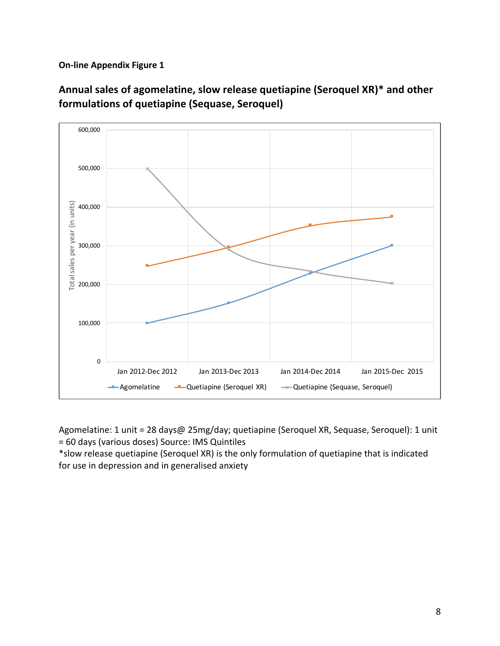

Annual sales of agomelatine, slow release quetiapine (Seroquel XR)<sup>\*</sup> and other **formulations of quetiapine (Sequase, Seroquel)** 

Agomelatine: 1 unit = 28 days@ 25mg/day; quetiapine (Seroquel XR, Sequase, Seroquel): 1 unit = 60 days (various doses) Source: IMS Quintiles

\*slow release quetiapine (Seroquel XR) is the only formulation of quetiapine that is indicated for use in depression and in generalised anxiety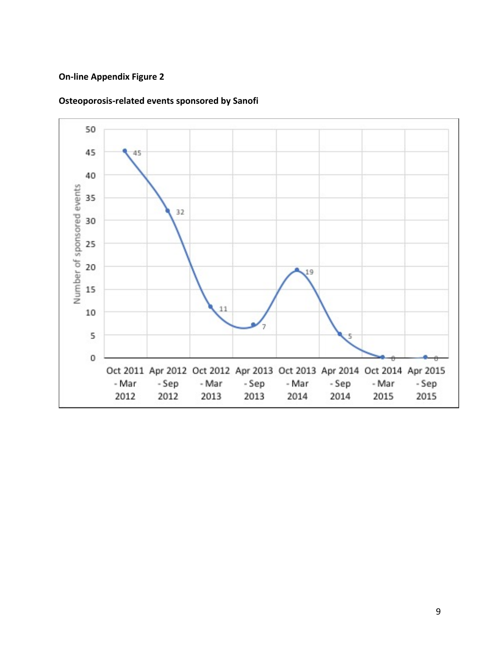

## **Osteoporosis-related events sponsored by Sanofi**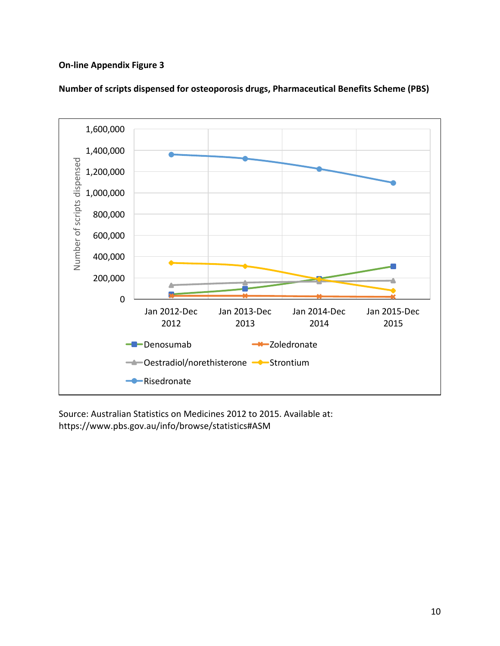

Number of scripts dispensed for osteoporosis drugs, Pharmaceutical Benefits Scheme (PBS)

Source: Australian Statistics on Medicines 2012 to 2015. Available at: https://www.pbs.gov.au/info/browse/statistics#ASM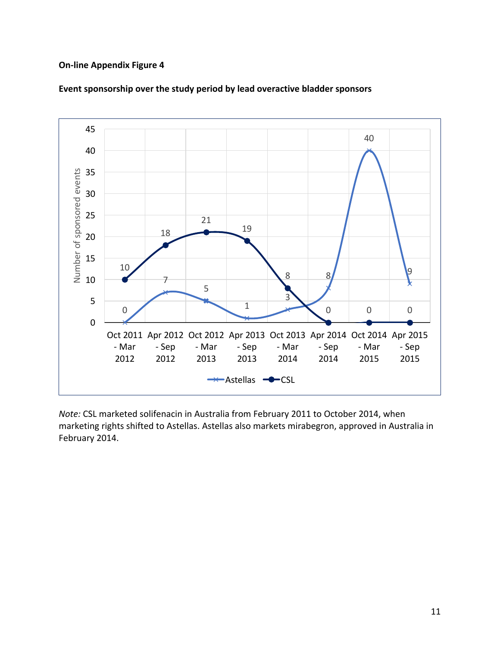

## Event sponsorship over the study period by lead overactive bladder sponsors

*Note:* CSL marketed solifenacin in Australia from February 2011 to October 2014, when marketing rights shifted to Astellas. Astellas also markets mirabegron, approved in Australia in February 2014.